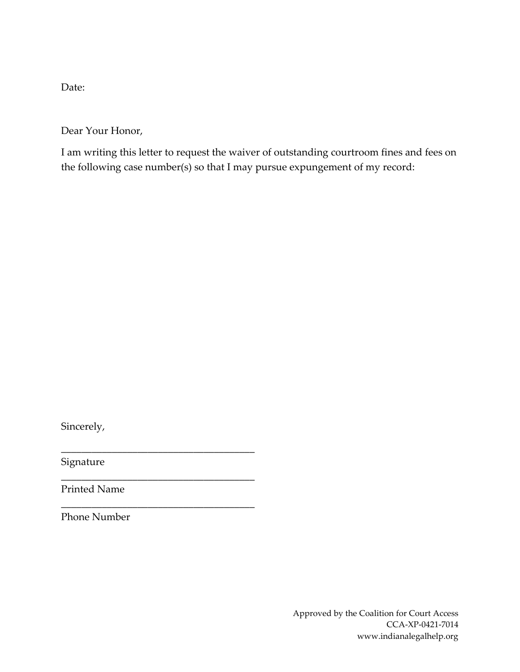Date:

Dear Your Honor,

I am writing this letter to request the waiver of outstanding courtroom fines and fees on the following case number(s) so that I may pursue expungement of my record:

Sincerely,

Signature

Printed Name

\_\_\_\_\_\_\_\_\_\_\_\_\_\_\_\_\_\_\_\_\_\_\_\_\_\_\_\_\_\_\_\_\_\_\_\_\_\_

\_\_\_\_\_\_\_\_\_\_\_\_\_\_\_\_\_\_\_\_\_\_\_\_\_\_\_\_\_\_\_\_\_\_\_\_\_\_

\_\_\_\_\_\_\_\_\_\_\_\_\_\_\_\_\_\_\_\_\_\_\_\_\_\_\_\_\_\_\_\_\_\_\_\_\_\_

Phone Number

Approved by the Coalition for Court Access CCA-XP-0421-7014 www.indianalegalhelp.org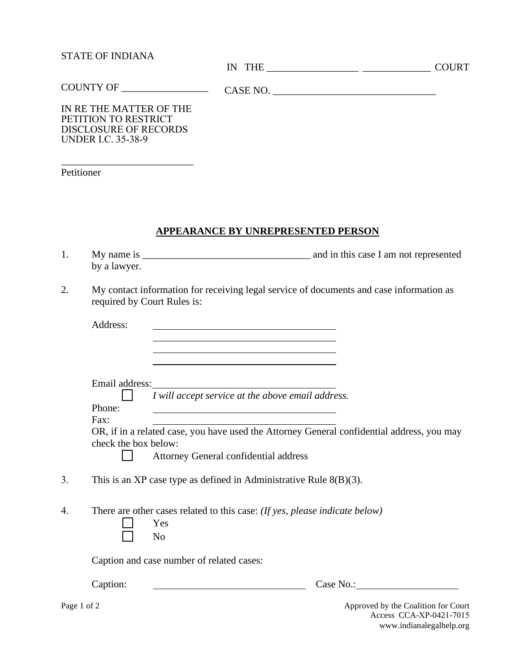## STATE OF INDIANA

IN THE \_\_\_\_\_\_\_\_\_\_\_\_\_\_\_\_\_\_ \_\_\_\_\_\_\_\_\_\_\_\_\_\_ COURT \_\_\_\_\_\_\_\_\_\_\_\_\_\_\_\_\_\_\_

 CASE NO. \_\_\_\_\_\_\_\_\_\_\_\_\_\_\_\_\_\_\_\_\_\_\_\_\_\_\_\_\_\_\_\_ COUNTY OF \_\_\_\_\_\_\_\_\_\_\_\_\_\_\_\_\_

IN RE THE MATTER OF THE PETITION TO RESTRICT DISCLOSURE OF RECORDS UNDER I.C. 35-38-9

\_\_\_\_\_\_\_\_\_\_\_\_\_\_\_\_\_\_\_\_\_\_\_\_\_\_

Petitioner

# **APPEARANCE BY UNREPRESENTED PERSON**

- 1. My name is \_\_\_\_\_\_\_\_\_\_\_\_\_\_\_\_\_\_\_\_\_\_\_\_\_\_\_\_\_\_\_\_\_ and in this case I am not represented by a lawyer.
- 2. My contact information for receiving legal service of documents and case information as required by Court Rules is:

|    | Address:                               |                                                                                                                                     |  |
|----|----------------------------------------|-------------------------------------------------------------------------------------------------------------------------------------|--|
|    | Email address:                         | <u> 1980 - Andrea Albert III, martin am Britânic (b. 1980)</u><br>I will accept service at the above email address.                 |  |
|    | Phone:<br>Fax:<br>check the box below: | OR, if in a related case, you have used the Attorney General confidential address, you may<br>Attorney General confidential address |  |
| 3. |                                        | This is an XP case type as defined in Administrative Rule $8(B)(3)$ .                                                               |  |
| 4. |                                        | There are other cases related to this case: (If yes, please indicate below)<br>Yes<br>N <sub>o</sub>                                |  |
|    |                                        | Caption and case number of related cases:                                                                                           |  |
|    | Caption:                               | Case No.:                                                                                                                           |  |

Page 1 of 2 Approved by the Coalition for Court Access CCA-XP-0421-7015 www.indianalegalhelp.org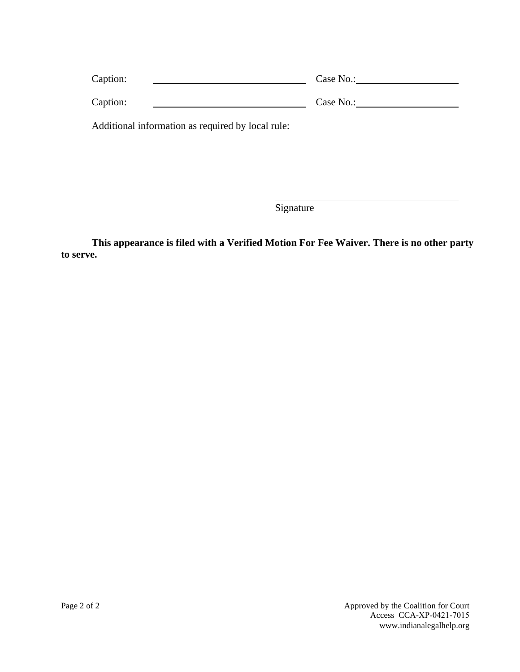| Caption:                                          | Case No.: |
|---------------------------------------------------|-----------|
| Caption:                                          | Case No.: |
| Additional information as required by local rule: |           |

Signature

**This appearance is filed with a Verified Motion For Fee Waiver. There is no other party to serve.**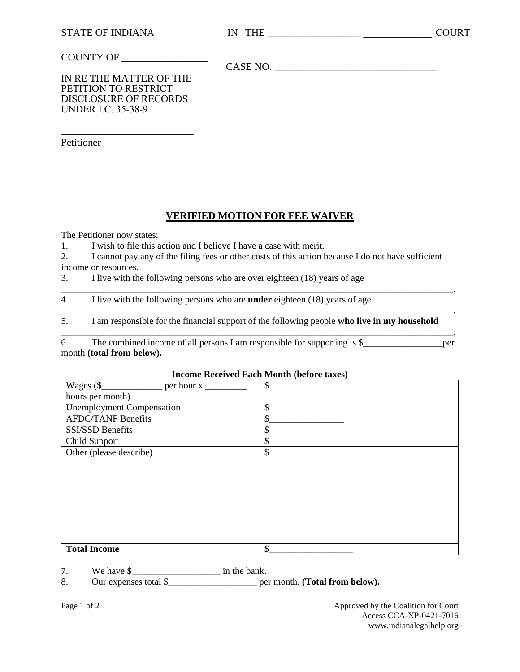#### COUNTY OF \_\_\_\_\_\_\_\_\_\_\_\_\_\_\_\_\_

CASE NO.

IN RE THE MATTER OF THE PETITION TO RESTRICT DISCLOSURE OF RECORDS UNDER I.C. 35-38-9

\_\_\_\_\_\_\_\_\_\_\_\_\_\_\_\_\_\_\_\_\_\_\_\_\_\_

Petitioner

## **VERIFIED MOTION FOR FEE WAIVER**

The Petitioner now states:

- 1. I wish to file this action and I believe I have a case with merit.
- 2. I cannot pay any of the filing fees or other costs of this action because I do not have sufficient income or resources.

3. I live with the following persons who are over eighteen (18) years of age

\_\_\_\_\_\_\_\_\_\_\_\_\_\_\_\_\_\_\_\_\_\_\_\_\_\_\_\_\_\_\_\_\_\_\_\_\_\_\_\_\_\_\_\_\_\_\_\_\_\_\_\_\_\_\_\_\_\_\_\_\_\_\_\_\_\_\_\_\_\_\_\_\_\_\_\_\_\_\_\_\_\_\_\_. 4. I live with the following persons who are **under** eighteen (18) years of age

\_\_\_\_\_\_\_\_\_\_\_\_\_\_\_\_\_\_\_\_\_\_\_\_\_\_\_\_\_\_\_\_\_\_\_\_\_\_\_\_\_\_\_\_\_\_\_\_\_\_\_\_\_\_\_\_\_\_\_\_\_\_\_\_\_\_\_\_\_\_\_\_\_\_\_\_\_\_\_\_\_\_\_\_. 5. I am responsible for the financial support of the following people **who live in my household**

\_\_\_\_\_\_\_\_\_\_\_\_\_\_\_\_\_\_\_\_\_\_\_\_\_\_\_\_\_\_\_\_\_\_\_\_\_\_\_\_\_\_\_\_\_\_\_\_\_\_\_\_\_\_\_\_\_\_\_\_\_\_\_\_\_\_\_\_\_\_\_\_\_\_\_\_\_\_\_\_\_\_\_\_. 6. The combined income of all persons I am responsible for supporting is  $\$ month **(total from below).**

#### **Income Received Each Month (before taxes)**

|                                  | $\boldsymbol{\mathsf{S}}$ |
|----------------------------------|---------------------------|
| hours per month)                 |                           |
| <b>Unemployment Compensation</b> | \$                        |
| <b>AFDC/TANF Benefits</b>        | \$                        |
| SSI/SSD Benefits                 | \$                        |
| Child Support                    | \$                        |
| Other (please describe)          | \$                        |
|                                  |                           |
|                                  |                           |
|                                  |                           |
|                                  |                           |
|                                  |                           |
|                                  |                           |
|                                  |                           |
|                                  |                           |
| <b>Total Income</b>              | \$                        |

7. We have \$\_\_\_\_\_\_\_\_\_\_\_\_\_\_\_\_\_\_\_ in the bank.

8. Our expenses total \$\_\_\_\_\_\_\_\_\_\_\_\_\_\_\_\_\_\_\_ per month. **(Total from below).**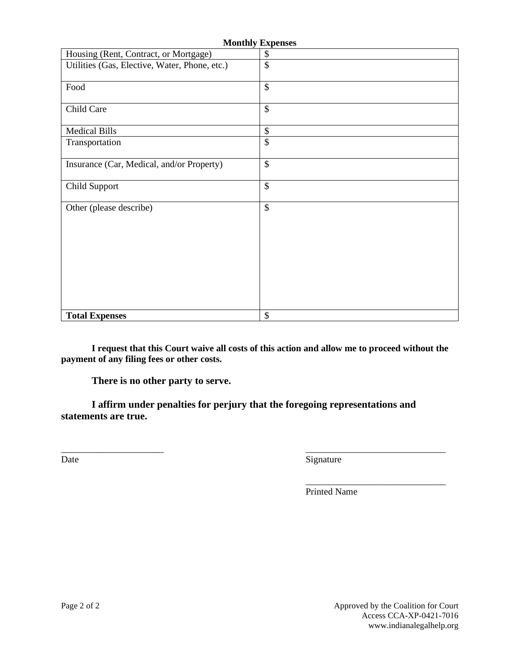| <b>Monthly Expenses</b>                       |               |  |  |  |
|-----------------------------------------------|---------------|--|--|--|
| Housing (Rent, Contract, or Mortgage)         | \$            |  |  |  |
| Utilities (Gas, Elective, Water, Phone, etc.) | $\mathbb{S}$  |  |  |  |
| Food                                          | $\mathcal{S}$ |  |  |  |
| Child Care                                    | \$            |  |  |  |
| <b>Medical Bills</b>                          | $\mathcal{S}$ |  |  |  |
| Transportation                                | \$            |  |  |  |
| Insurance (Car, Medical, and/or Property)     | $\mathcal{S}$ |  |  |  |
| Child Support                                 | \$            |  |  |  |
| Other (please describe)                       | $\mathcal{S}$ |  |  |  |
| <b>Total Expenses</b>                         | \$            |  |  |  |

**I request that this Court waive all costs of this action and allow me to proceed without the payment of any filing fees or other costs.** 

**There is no other party to serve.** 

**I affirm under penalties for perjury that the foregoing representations and statements are true.**

\_\_\_\_\_\_\_\_\_\_\_\_\_\_\_\_\_\_\_\_\_\_ \_\_\_\_\_\_\_\_\_\_\_\_\_\_\_\_\_\_\_\_\_\_\_\_\_\_\_\_\_\_

Date Signature

\_\_\_\_\_\_\_\_\_\_\_\_\_\_\_\_\_\_\_\_\_\_\_\_\_\_\_\_\_\_ Printed Name